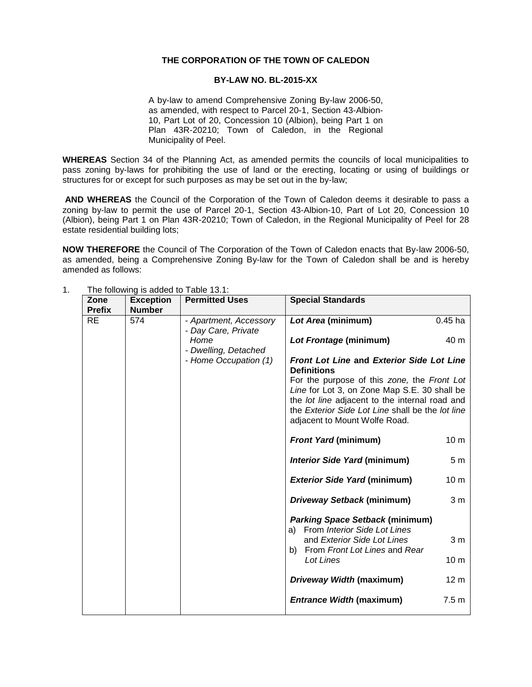## **THE CORPORATION OF THE TOWN OF CALEDON**

## **BY-LAW NO. BL-2015-XX**

A by-law to amend Comprehensive Zoning By-law 2006-50, as amended, with respect to Parcel 20-1, Section 43-Albion-10, Part Lot of 20, Concession 10 (Albion), being Part 1 on Plan 43R-20210; Town of Caledon, in the Regional Municipality of Peel.

**WHEREAS** Section 34 of the Planning Act, as amended permits the councils of local municipalities to pass zoning by-laws for prohibiting the use of land or the erecting, locating or using of buildings or structures for or except for such purposes as may be set out in the by-law;

**AND WHEREAS** the Council of the Corporation of the Town of Caledon deems it desirable to pass a zoning by-law to permit the use of Parcel 20-1, Section 43-Albion-10, Part of Lot 20, Concession 10 (Albion), being Part 1 on Plan 43R-20210; Town of Caledon, in the Regional Municipality of Peel for 28 estate residential building lots;

**NOW THEREFORE** the Council of The Corporation of the Town of Caledon enacts that By-law 2006-50, as amended, being a Comprehensive Zoning By-law for the Town of Caledon shall be and is hereby amended as follows:

| Zone<br><b>Prefix</b> | <b>Exception</b><br><b>Number</b> | <b>Permitted Uses</b>                         | <b>Special Standards</b>                                                                                                                                                                                                           |                  |  |  |
|-----------------------|-----------------------------------|-----------------------------------------------|------------------------------------------------------------------------------------------------------------------------------------------------------------------------------------------------------------------------------------|------------------|--|--|
| <b>RE</b>             | 574                               | - Apartment, Accessory<br>- Day Care, Private | Lot Area (minimum)                                                                                                                                                                                                                 | $0.45$ ha        |  |  |
|                       |                                   | Home<br>- Dwelling, Detached                  | Lot Frontage (minimum)                                                                                                                                                                                                             | 40 m             |  |  |
|                       |                                   | - Home Occupation (1)                         | <b>Front Lot Line and Exterior Side Lot Line</b><br><b>Definitions</b>                                                                                                                                                             |                  |  |  |
|                       |                                   |                                               | For the purpose of this zone, the Front Lot<br>Line for Lot 3, on Zone Map S.E. 30 shall be<br>the lot line adjacent to the internal road and<br>the Exterior Side Lot Line shall be the lot line<br>adjacent to Mount Wolfe Road. |                  |  |  |
|                       |                                   |                                               | <b>Front Yard (minimum)</b>                                                                                                                                                                                                        | 10 <sub>m</sub>  |  |  |
|                       |                                   |                                               | <b>Interior Side Yard (minimum)</b>                                                                                                                                                                                                | 5 <sub>m</sub>   |  |  |
|                       |                                   |                                               | <b>Exterior Side Yard (minimum)</b>                                                                                                                                                                                                | 10 <sub>m</sub>  |  |  |
|                       |                                   |                                               | Driveway Setback (minimum)                                                                                                                                                                                                         | 3 <sub>m</sub>   |  |  |
|                       |                                   |                                               | <b>Parking Space Setback (minimum)</b><br>a) From Interior Side Lot Lines                                                                                                                                                          |                  |  |  |
|                       |                                   |                                               | and Exterior Side Lot Lines<br>From Front Lot Lines and Rear<br>b)                                                                                                                                                                 | 3 <sub>m</sub>   |  |  |
|                       |                                   |                                               | Lot Lines                                                                                                                                                                                                                          | 10 <sub>m</sub>  |  |  |
|                       |                                   |                                               | <b>Driveway Width (maximum)</b>                                                                                                                                                                                                    | 12 <sub>m</sub>  |  |  |
|                       |                                   |                                               | <b>Entrance Width (maximum)</b>                                                                                                                                                                                                    | 7.5 <sub>m</sub> |  |  |

1. The following is added to Table 13.1: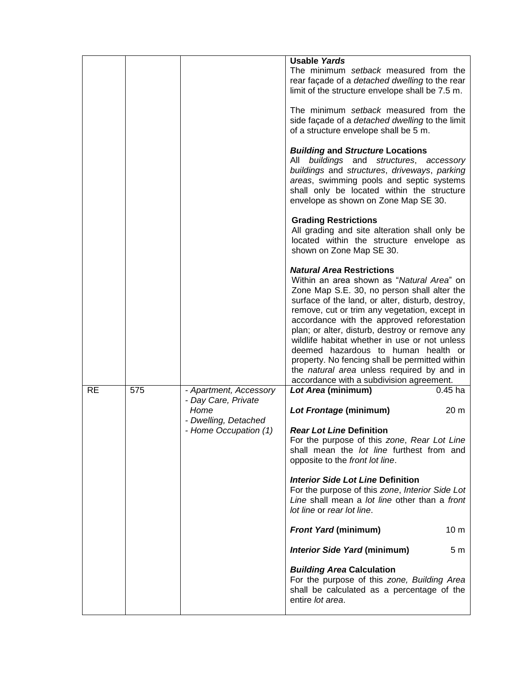|           |     |                                                       | <b>Usable Yards</b><br>The minimum setback measured from the<br>rear façade of a <i>detached</i> dwelling to the rear<br>limit of the structure envelope shall be 7.5 m.                                                                                                                                                                                                                                                                                                                                                                                                     |
|-----------|-----|-------------------------------------------------------|------------------------------------------------------------------------------------------------------------------------------------------------------------------------------------------------------------------------------------------------------------------------------------------------------------------------------------------------------------------------------------------------------------------------------------------------------------------------------------------------------------------------------------------------------------------------------|
|           |     |                                                       | The minimum setback measured from the<br>side façade of a <i>detached dwelling</i> to the limit<br>of a structure envelope shall be 5 m.                                                                                                                                                                                                                                                                                                                                                                                                                                     |
|           |     |                                                       | <b>Building and Structure Locations</b><br>buildings and structures,<br>All<br>accessory<br>buildings and structures, driveways, parking<br>areas, swimming pools and septic systems<br>shall only be located within the structure<br>envelope as shown on Zone Map SE 30.                                                                                                                                                                                                                                                                                                   |
|           |     |                                                       | <b>Grading Restrictions</b><br>All grading and site alteration shall only be<br>located within the structure envelope as<br>shown on Zone Map SE 30.                                                                                                                                                                                                                                                                                                                                                                                                                         |
|           |     |                                                       | <b>Natural Area Restrictions</b><br>Within an area shown as "Natural Area" on<br>Zone Map S.E. 30, no person shall alter the<br>surface of the land, or alter, disturb, destroy,<br>remove, cut or trim any vegetation, except in<br>accordance with the approved reforestation<br>plan; or alter, disturb, destroy or remove any<br>wildlife habitat whether in use or not unless<br>deemed hazardous to human health or<br>property. No fencing shall be permitted within<br>the <i>natural area</i> unless required by and in<br>accordance with a subdivision agreement. |
| <b>RE</b> | 575 | - Apartment, Accessory<br>- Day Care, Private         | Lot Area (minimum)<br>$0.45$ ha                                                                                                                                                                                                                                                                                                                                                                                                                                                                                                                                              |
|           |     | Home<br>- Dwelling, Detached<br>- Home Occupation (1) | Lot Frontage (minimum)<br>20 <sub>m</sub><br><b>Rear Lot Line Definition</b><br>For the purpose of this zone, Rear Lot Line<br>shall mean the lot line furthest from and<br>opposite to the front lot line.                                                                                                                                                                                                                                                                                                                                                                  |
|           |     |                                                       | <b>Interior Side Lot Line Definition</b><br>For the purpose of this zone, Interior Side Lot<br>Line shall mean a lot line other than a front<br>lot line or rear lot line.                                                                                                                                                                                                                                                                                                                                                                                                   |
|           |     |                                                       | <b>Front Yard (minimum)</b><br>10 <sub>m</sub>                                                                                                                                                                                                                                                                                                                                                                                                                                                                                                                               |
|           |     |                                                       | <b>Interior Side Yard (minimum)</b><br>5 <sub>m</sub>                                                                                                                                                                                                                                                                                                                                                                                                                                                                                                                        |
|           |     |                                                       | <b>Building Area Calculation</b><br>For the purpose of this zone, Building Area<br>shall be calculated as a percentage of the<br>entire lot area.                                                                                                                                                                                                                                                                                                                                                                                                                            |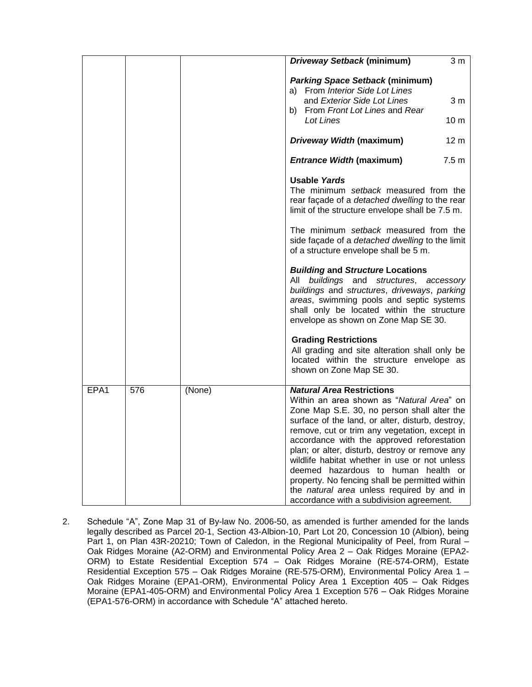|      |     |        | <b>Driveway Setback (minimum)</b>                                                                                                                                                                                                                                                                                                                                                                                                                                                                                                                                     | 3 <sub>m</sub>                    |
|------|-----|--------|-----------------------------------------------------------------------------------------------------------------------------------------------------------------------------------------------------------------------------------------------------------------------------------------------------------------------------------------------------------------------------------------------------------------------------------------------------------------------------------------------------------------------------------------------------------------------|-----------------------------------|
|      |     |        | <b>Parking Space Setback (minimum)</b><br>a) From Interior Side Lot Lines<br>and Exterior Side Lot Lines<br>b) From Front Lot Lines and Rear<br>Lot Lines                                                                                                                                                                                                                                                                                                                                                                                                             | 3 <sub>m</sub><br>10 <sub>m</sub> |
|      |     |        |                                                                                                                                                                                                                                                                                                                                                                                                                                                                                                                                                                       |                                   |
|      |     |        | Driveway Width (maximum)                                                                                                                                                                                                                                                                                                                                                                                                                                                                                                                                              | 12 <sub>m</sub>                   |
|      |     |        | <b>Entrance Width (maximum)</b>                                                                                                                                                                                                                                                                                                                                                                                                                                                                                                                                       | 7.5 <sub>m</sub>                  |
|      |     |        | <b>Usable Yards</b><br>The minimum setback measured from the<br>rear façade of a detached dwelling to the rear<br>limit of the structure envelope shall be 7.5 m.                                                                                                                                                                                                                                                                                                                                                                                                     |                                   |
|      |     |        | The minimum setback measured from the<br>side façade of a detached dwelling to the limit<br>of a structure envelope shall be 5 m.                                                                                                                                                                                                                                                                                                                                                                                                                                     |                                   |
|      |     |        | <b>Building and Structure Locations</b><br>All buildings and structures, accessory<br>buildings and structures, driveways, parking<br>areas, swimming pools and septic systems<br>shall only be located within the structure<br>envelope as shown on Zone Map SE 30.                                                                                                                                                                                                                                                                                                  |                                   |
|      |     |        | <b>Grading Restrictions</b><br>All grading and site alteration shall only be<br>located within the structure envelope as<br>shown on Zone Map SE 30.                                                                                                                                                                                                                                                                                                                                                                                                                  |                                   |
| EPA1 | 576 | (None) | <b>Natural Area Restrictions</b><br>Within an area shown as "Natural Area" on<br>Zone Map S.E. 30, no person shall alter the<br>surface of the land, or alter, disturb, destroy,<br>remove, cut or trim any vegetation, except in<br>accordance with the approved reforestation<br>plan; or alter, disturb, destroy or remove any<br>wildlife habitat whether in use or not unless<br>deemed hazardous to human health or<br>property. No fencing shall be permitted within<br>the natural area unless required by and in<br>accordance with a subdivision agreement. |                                   |

2. Schedule "A", Zone Map 31 of By-law No. 2006-50, as amended is further amended for the lands legally described as Parcel 20-1, Section 43-Albion-10, Part Lot 20, Concession 10 (Albion), being Part 1, on Plan 43R-20210; Town of Caledon, in the Regional Municipality of Peel, from Rural – Oak Ridges Moraine (A2-ORM) and Environmental Policy Area 2 – Oak Ridges Moraine (EPA2- ORM) to Estate Residential Exception 574 – Oak Ridges Moraine (RE-574-ORM), Estate Residential Exception 575 – Oak Ridges Moraine (RE-575-ORM), Environmental Policy Area 1 – Oak Ridges Moraine (EPA1-ORM), Environmental Policy Area 1 Exception 405 – Oak Ridges Moraine (EPA1-405-ORM) and Environmental Policy Area 1 Exception 576 – Oak Ridges Moraine (EPA1-576-ORM) in accordance with Schedule "A" attached hereto.